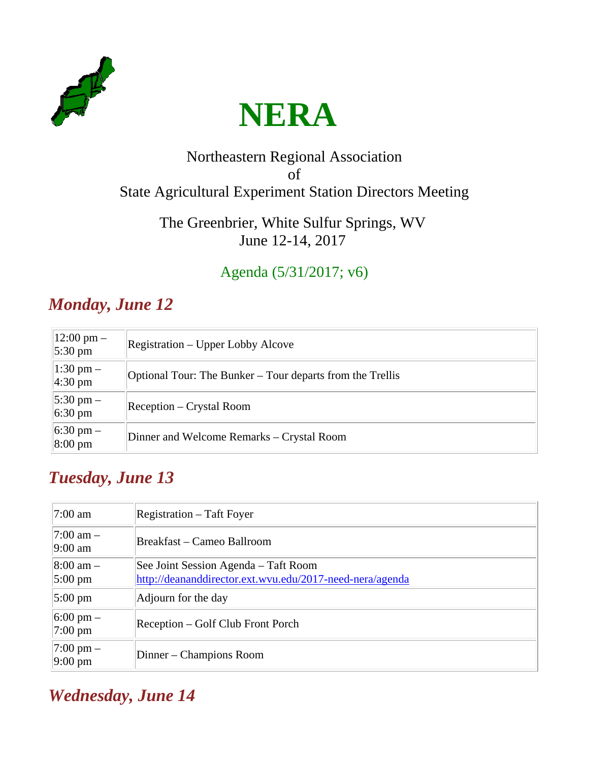



#### Northeastern Regional Association of State Agricultural Experiment Station Directors Meeting

#### The Greenbrier, White Sulfur Springs, WV June 12-14, 2017

#### Agenda (5/31/2017; v6)

# *Monday, June 12*

| $12:00 \text{ pm} -$<br>$5:30 \text{ pm}$ | <b>Registration – Upper Lobby Alcove</b>                  |
|-------------------------------------------|-----------------------------------------------------------|
| $1:30 \text{ pm} -$<br>$4:30 \text{ pm}$  | Optional Tour: The Bunker – Tour departs from the Trellis |
| $5:30 \text{ pm} -$<br>$6:30 \text{ pm}$  | Reception – Crystal Room                                  |
| $6:30 \text{ pm} -$<br>8:00 pm            | Dinner and Welcome Remarks – Crystal Room                 |

## *Tuesday, June 13*

| $ 7:00 \text{ am} $                        | Registration – Taft Foyer                                                                        |
|--------------------------------------------|--------------------------------------------------------------------------------------------------|
| $ 7:00 \text{ am } -$<br>$9:00 \text{ am}$ | Breakfast – Cameo Ballroom                                                                       |
| $ 8:00 \text{ am } -$<br>$5:00 \text{ pm}$ | See Joint Session Agenda – Taft Room<br>http://deananddirector.ext.wvu.edu/2017-need-nera/agenda |
| $5:00 \text{ pm}$                          | Adjourn for the day                                                                              |
| $6:00 \text{ pm} -$<br>$ 7:00 \text{ pm} $ | Reception – Golf Club Front Porch                                                                |
| $ 7:00 \text{ pm} -$<br>$9:00 \text{ pm}$  | Dinner – Champions Room                                                                          |

## *Wednesday, June 14*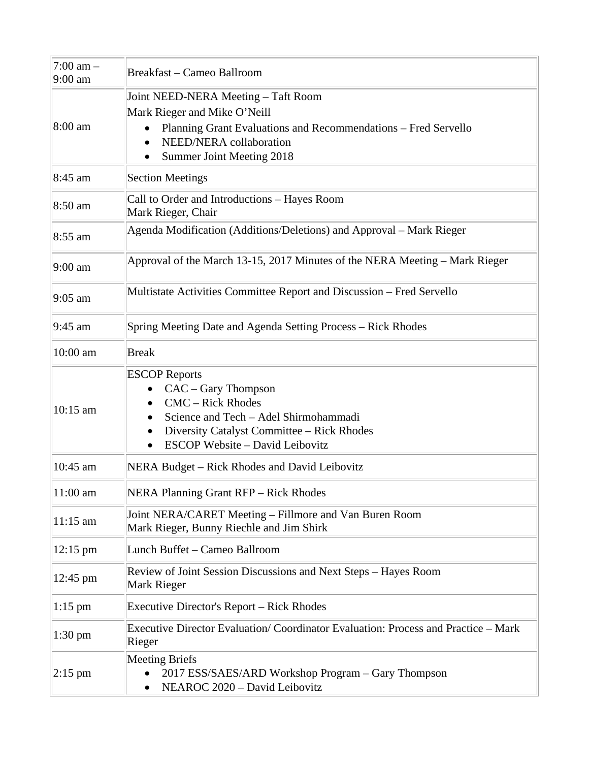| 7:00 am -<br>9:00 am | Breakfast - Cameo Ballroom                                                                                                                                                                                    |
|----------------------|---------------------------------------------------------------------------------------------------------------------------------------------------------------------------------------------------------------|
| 8:00 am              | Joint NEED-NERA Meeting – Taft Room<br>Mark Rieger and Mike O'Neill<br>Planning Grant Evaluations and Recommendations – Fred Servello<br>NEED/NERA collaboration<br>Summer Joint Meeting 2018                 |
| 8:45 am              | <b>Section Meetings</b>                                                                                                                                                                                       |
| 8:50 am              | Call to Order and Introductions - Hayes Room<br>Mark Rieger, Chair                                                                                                                                            |
| $8:55$ am            | Agenda Modification (Additions/Deletions) and Approval – Mark Rieger                                                                                                                                          |
| $9:00 \text{ am}$    | Approval of the March 13-15, 2017 Minutes of the NERA Meeting – Mark Rieger                                                                                                                                   |
| $9:05$ am            | Multistate Activities Committee Report and Discussion - Fred Servello                                                                                                                                         |
| $9:45$ am            | Spring Meeting Date and Agenda Setting Process - Rick Rhodes                                                                                                                                                  |
| 10:00 am             | <b>Break</b>                                                                                                                                                                                                  |
| 10:15 am             | <b>ESCOP</b> Reports<br>CAC – Gary Thompson<br><b>CMC</b> – Rick Rhodes<br>Science and Tech - Adel Shirmohammadi<br>Diversity Catalyst Committee – Rick Rhodes<br>٠<br><b>ESCOP Website - David Leibovitz</b> |
| 10:45 am             | NERA Budget – Rick Rhodes and David Leibovitz                                                                                                                                                                 |
| 11:00 am             | <b>NERA Planning Grant RFP - Rick Rhodes</b>                                                                                                                                                                  |
| $11:15$ am           | Joint NERA/CARET Meeting – Fillmore and Van Buren Room<br>Mark Rieger, Bunny Riechle and Jim Shirk                                                                                                            |
| $12:15 \text{ pm}$   | Lunch Buffet - Cameo Ballroom                                                                                                                                                                                 |
| 12:45 pm             | Review of Joint Session Discussions and Next Steps - Hayes Room<br>Mark Rieger                                                                                                                                |
| $1:15$ pm            | <b>Executive Director's Report – Rick Rhodes</b>                                                                                                                                                              |
| $1:30 \text{ pm}$    | Executive Director Evaluation/Coordinator Evaluation: Process and Practice – Mark<br>Rieger                                                                                                                   |
| $ 2:15$ pm           | <b>Meeting Briefs</b><br>2017 ESS/SAES/ARD Workshop Program - Gary Thompson<br>NEAROC 2020 - David Leibovitz<br>٠                                                                                             |